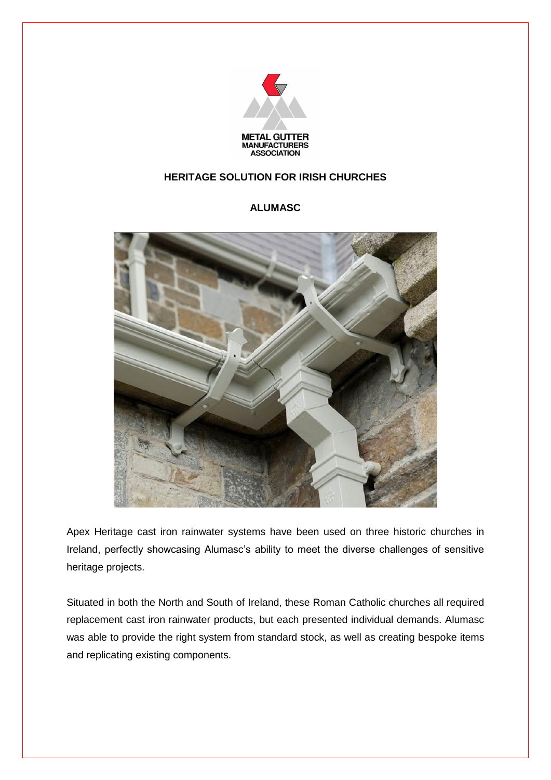

## **HERITAGE SOLUTION FOR IRISH CHURCHES**

## **ALUMASC**



Apex Heritage cast iron rainwater systems have been used on three historic churches in Ireland, perfectly showcasing Alumasc's ability to meet the diverse challenges of sensitive heritage projects.

Situated in both the North and South of Ireland, these Roman Catholic churches all required replacement cast iron rainwater products, but each presented individual demands. Alumasc was able to provide the right system from standard stock, as well as creating bespoke items and replicating existing components.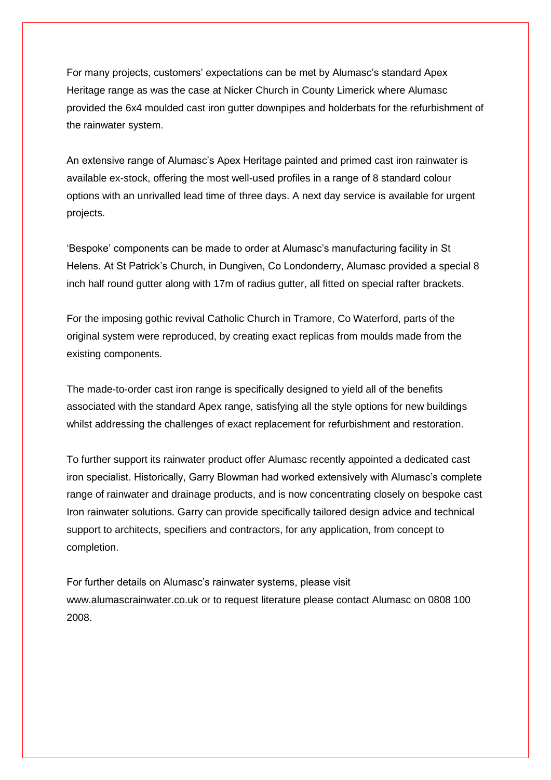For many projects, customers' expectations can be met by Alumasc's standard Apex Heritage range as was the case at Nicker Church in County Limerick where Alumasc provided the 6x4 moulded cast iron gutter downpipes and holderbats for the refurbishment of the rainwater system.

An extensive range of Alumasc's Apex Heritage painted and primed cast iron rainwater is available ex-stock, offering the most well-used profiles in a range of 8 standard colour options with an unrivalled lead time of three days. A next day service is available for urgent projects.

'Bespoke' components can be made to order at Alumasc's manufacturing facility in St Helens. At St Patrick's Church, in Dungiven, Co Londonderry, Alumasc provided a special 8 inch half round gutter along with 17m of radius gutter, all fitted on special rafter brackets.

For the imposing gothic revival Catholic Church in Tramore, Co Waterford, parts of the original system were reproduced, by creating exact replicas from moulds made from the existing components.

The made-to-order cast iron range is specifically designed to yield all of the benefits associated with the standard Apex range, satisfying all the style options for new buildings whilst addressing the challenges of exact replacement for refurbishment and restoration.

To further support its rainwater product offer Alumasc recently appointed a dedicated cast iron specialist. Historically, Garry Blowman had worked extensively with Alumasc's complete range of rainwater and drainage products, and is now concentrating closely on bespoke cast Iron rainwater solutions. Garry can provide specifically tailored design advice and technical support to architects, specifiers and contractors, for any application, from concept to completion.

For further details on Alumasc's rainwater systems, please visit [www.alumascrainwater.co.uk](http://www.alumascrainwater.co.uk/) or to request literature please contact Alumasc on 0808 100 2008.